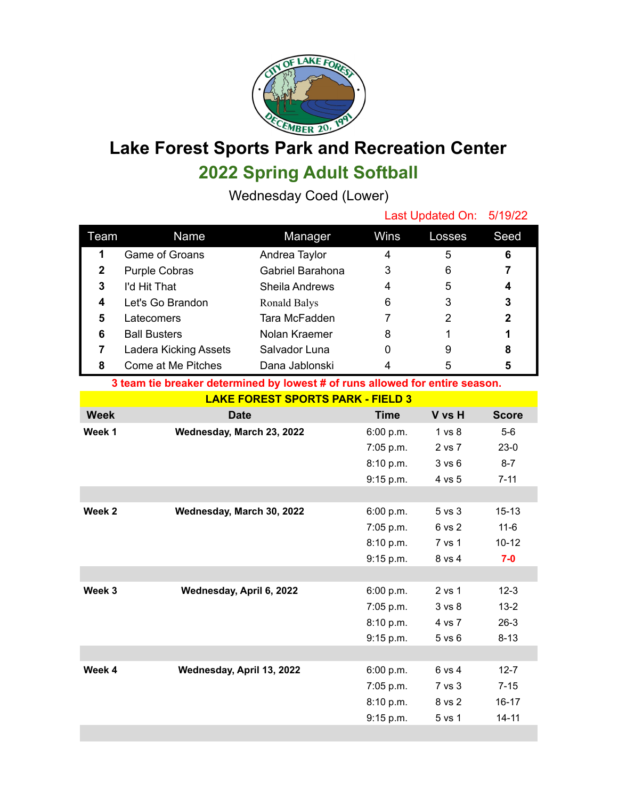

## **Lake Forest Sports Park and Recreation Center 2022 Spring Adult Softball**

Wednesday Coed (Lower)

|                                                                              |                              |                       |             | Last Updated On:<br>5/19/22 |                |  |  |  |
|------------------------------------------------------------------------------|------------------------------|-----------------------|-------------|-----------------------------|----------------|--|--|--|
| Team                                                                         | Name                         | Manager               | Wins        | Losses                      | Seed           |  |  |  |
| 1                                                                            | <b>Game of Groans</b>        | Andrea Taylor         | 4           | 5                           | 6              |  |  |  |
| $\mathbf 2$                                                                  | <b>Purple Cobras</b>         | Gabriel Barahona      | 3           | 6                           | $\overline{7}$ |  |  |  |
| 3                                                                            | I'd Hit That                 | <b>Sheila Andrews</b> | 4           | 5                           | 4              |  |  |  |
| 4                                                                            | Let's Go Brandon             | <b>Ronald Balys</b>   | 6           | 3                           | 3              |  |  |  |
| 5                                                                            | Latecomers                   | Tara McFadden         | 7           | $\overline{2}$              | $\mathbf 2$    |  |  |  |
| 6                                                                            | <b>Ball Busters</b>          | Nolan Kraemer         | 8           | 1                           | 1              |  |  |  |
| $\overline{7}$                                                               | <b>Ladera Kicking Assets</b> | Salvador Luna         | 0           | 9                           | 8              |  |  |  |
| 8                                                                            | Come at Me Pitches           | Dana Jablonski        | 4           | 5                           | 5              |  |  |  |
| 3 team tie breaker determined by lowest # of runs allowed for entire season. |                              |                       |             |                             |                |  |  |  |
| <b>LAKE FOREST SPORTS PARK - FIELD 3</b>                                     |                              |                       |             |                             |                |  |  |  |
| <b>Week</b>                                                                  | <b>Date</b>                  |                       | <b>Time</b> | V vs H                      | <b>Score</b>   |  |  |  |
| Week 1                                                                       | Wednesday, March 23, 2022    |                       | 6:00 p.m.   | 1 <sub>vs</sub> 8           | $5-6$          |  |  |  |
|                                                                              |                              |                       | 7:05 p.m.   | 2 vs 7                      | $23-0$         |  |  |  |
|                                                                              |                              |                       | 8:10 p.m.   | 3 v s 6                     | $8 - 7$        |  |  |  |
|                                                                              |                              |                       | 9:15 p.m.   | 4 vs 5                      | $7 - 11$       |  |  |  |
|                                                                              |                              |                       |             |                             |                |  |  |  |
| Week 2                                                                       | Wednesday, March 30, 2022    |                       | 6:00 p.m.   | 5 vs 3                      | $15 - 13$      |  |  |  |
|                                                                              |                              |                       | 7:05 p.m.   | 6 vs 2                      | $11 - 6$       |  |  |  |
|                                                                              |                              |                       | 8:10 p.m.   | 7 vs 1                      | $10 - 12$      |  |  |  |
|                                                                              |                              |                       | 9:15 p.m.   | 8 vs 4                      | $7-0$          |  |  |  |
|                                                                              |                              |                       |             |                             |                |  |  |  |
|                                                                              |                              |                       |             |                             |                |  |  |  |
| Week 3                                                                       | Wednesday, April 6, 2022     |                       | 6:00 p.m.   | 2 vs 1                      | $12-3$         |  |  |  |

**Week 4 Wednesday, April 13, 2022** 6:00 p.m. 6 vs 4 12-7

8:10 p.m. 4 vs 7 26-3 9:15 p.m. 5 vs 6 8-13

7:05 p.m. 7 vs 3 7-15 8:10 p.m. 8 vs 2 16-17 9:15 p.m. 5 vs 1 14-11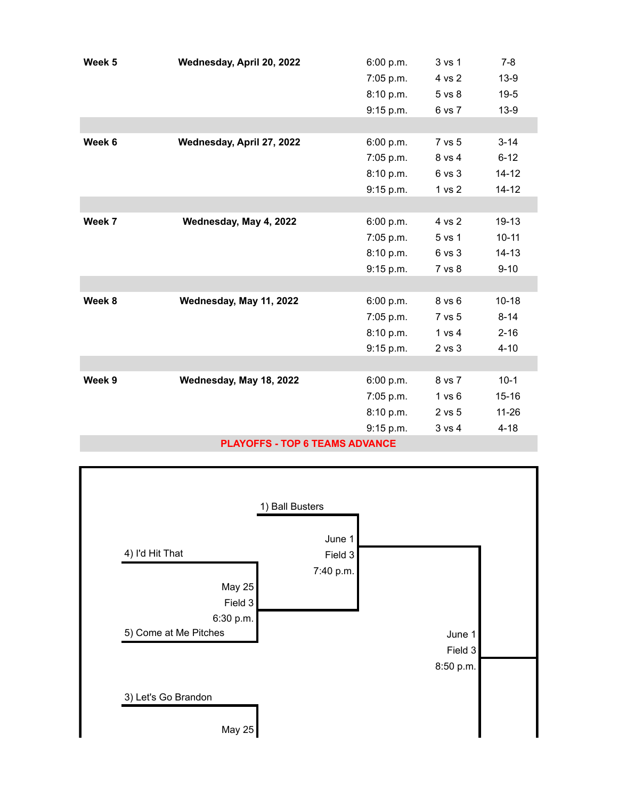| Week 5 | Wednesday, April 20, 2022             | 6:00 p.m. | 3 vs 1            | $7 - 8$   |
|--------|---------------------------------------|-----------|-------------------|-----------|
|        |                                       | 7:05 p.m. | 4 vs 2            | $13-9$    |
|        |                                       | 8:10 p.m. | 5 vs 8            | $19 - 5$  |
|        |                                       | 9:15 p.m. | 6 vs 7            | $13-9$    |
|        |                                       |           |                   |           |
| Week 6 | Wednesday, April 27, 2022             | 6:00 p.m. | 7 vs 5            | $3 - 14$  |
|        |                                       | 7:05 p.m. | 8 vs 4            | $6 - 12$  |
|        |                                       | 8:10 p.m. | 6 vs 3            | $14 - 12$ |
|        |                                       | 9:15 p.m. | 1 <sub>vs</sub> 2 | $14 - 12$ |
|        |                                       |           |                   |           |
| Week 7 | Wednesday, May 4, 2022                | 6:00 p.m. | 4 vs 2            | $19-13$   |
|        |                                       | 7:05 p.m. | 5 vs 1            | $10 - 11$ |
|        |                                       | 8:10 p.m. | 6 vs 3            | $14 - 13$ |
|        |                                       | 9:15 p.m. | 7 vs 8            | $9 - 10$  |
|        |                                       |           |                   |           |
| Week 8 | Wednesday, May 11, 2022               | 6:00 p.m. | 8 vs 6            | $10 - 18$ |
|        |                                       | 7:05 p.m. | 7 vs 5            | $8 - 14$  |
|        |                                       | 8:10 p.m. | 1 vs 4            | $2 - 16$  |
|        |                                       | 9:15 p.m. | $2$ vs $3$        | $4 - 10$  |
|        |                                       |           |                   |           |
| Week 9 | Wednesday, May 18, 2022               | 6:00 p.m. | 8 vs 7            | $10-1$    |
|        |                                       | 7:05 p.m. | 1 v s 6           | $15 - 16$ |
|        |                                       | 8:10 p.m. | 2 vs 5            | $11 - 26$ |
|        |                                       | 9:15 p.m. | 3 vs 4            | $4 - 18$  |
|        | <b>BLAVAPPA, PARA PPAILA ARVAILAP</b> |           |                   |           |